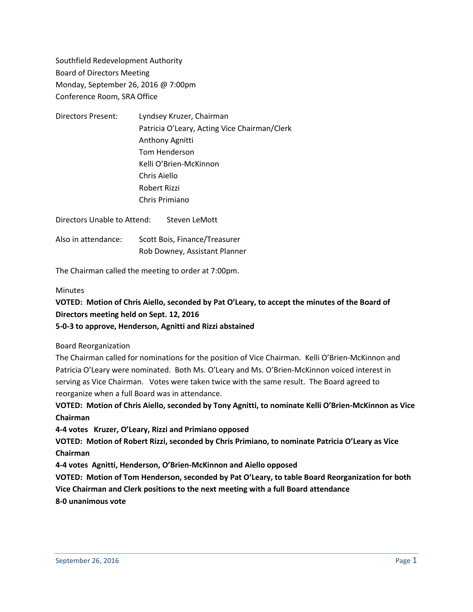Southfield Redevelopment Authority Board of Directors Meeting Monday, September 26, 2016 @ 7:00pm Conference Room, SRA Office

Directors Present: Lyndsey Kruzer, Chairman Patricia O'Leary, Acting Vice Chairman/Clerk Anthony Agnitti Tom Henderson Kelli O'Brien-McKinnon Chris Aiello Robert Rizzi Chris Primiano

Directors Unable to Attend: Steven LeMott

Also in attendance: Scott Bois, Finance/Treasurer Rob Downey, Assistant Planner

The Chairman called the meeting to order at 7:00pm.

# **Minutes**

# **VOTED: Motion of Chris Aiello, seconded by Pat O'Leary, to accept the minutes of the Board of Directors meeting held on Sept. 12, 2016**

# **5-0-3 to approve, Henderson, Agnitti and Rizzi abstained**

Board Reorganization

The Chairman called for nominations for the position of Vice Chairman. Kelli O'Brien-McKinnon and Patricia O'Leary were nominated. Both Ms. O'Leary and Ms. O'Brien-McKinnon voiced interest in serving as Vice Chairman. Votes were taken twice with the same result. The Board agreed to reorganize when a full Board was in attendance.

**VOTED: Motion of Chris Aiello, seconded by Tony Agnitti, to nominate Kelli O'Brien-McKinnon as Vice Chairman**

**4-4 votes Kruzer, O'Leary, Rizzi and Primiano opposed**

**VOTED: Motion of Robert Rizzi, seconded by Chris Primiano, to nominate Patricia O'Leary as Vice Chairman**

**4-4 votes Agnitti, Henderson, O'Brien-McKinnon and Aiello opposed**

**VOTED: Motion of Tom Henderson, seconded by Pat O'Leary, to table Board Reorganization for both Vice Chairman and Clerk positions to the next meeting with a full Board attendance 8-0 unanimous vote**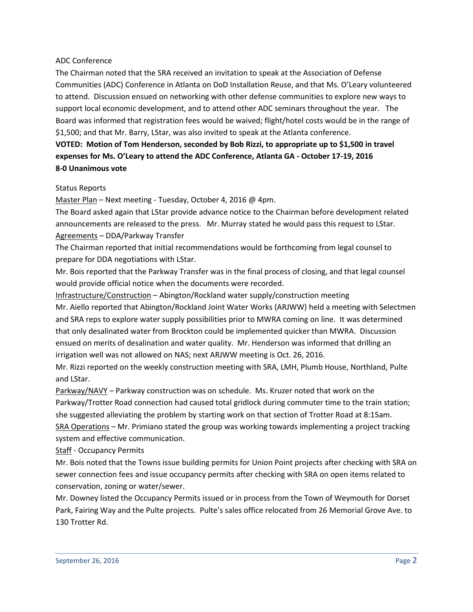# ADC Conference

The Chairman noted that the SRA received an invitation to speak at the Association of Defense Communities (ADC) Conference in Atlanta on DoD Installation Reuse, and that Ms. O'Leary volunteered to attend. Discussion ensued on networking with other defense communities to explore new ways to support local economic development, and to attend other ADC seminars throughout the year. The Board was informed that registration fees would be waived; flight/hotel costs would be in the range of \$1,500; and that Mr. Barry, LStar, was also invited to speak at the Atlanta conference.

**VOTED: Motion of Tom Henderson, seconded by Bob Rizzi, to appropriate up to \$1,500 in travel expenses for Ms. O'Leary to attend the ADC Conference, Atlanta GA - October 17-19, 2016 8-0 Unanimous vote**

# Status Reports

Master Plan - Next meeting - Tuesday, October 4, 2016 @ 4pm.

The Board asked again that LStar provide advance notice to the Chairman before development related announcements are released to the press. Mr. Murray stated he would pass this request to LStar. Agreements – DDA/Parkway Transfer

The Chairman reported that initial recommendations would be forthcoming from legal counsel to prepare for DDA negotiations with LStar.

Mr. Bois reported that the Parkway Transfer was in the final process of closing, and that legal counsel would provide official notice when the documents were recorded.

Infrastructure/Construction – Abington/Rockland water supply/construction meeting Mr. Aiello reported that Abington/Rockland Joint Water Works (ARJWW) held a meeting with Selectmen and SRA reps to explore water supply possibilities prior to MWRA coming on line. It was determined that only desalinated water from Brockton could be implemented quicker than MWRA. Discussion ensued on merits of desalination and water quality. Mr. Henderson was informed that drilling an irrigation well was not allowed on NAS; next ARJWW meeting is Oct. 26, 2016.

Mr. Rizzi reported on the weekly construction meeting with SRA, LMH, Plumb House, Northland, Pulte and LStar.

Parkway/NAVY – Parkway construction was on schedule. Ms. Kruzer noted that work on the Parkway/Trotter Road connection had caused total gridlock during commuter time to the train station; she suggested alleviating the problem by starting work on that section of Trotter Road at 8:15am. SRA Operations – Mr. Primiano stated the group was working towards implementing a project tracking system and effective communication.

Staff - Occupancy Permits

Mr. Bois noted that the Towns issue building permits for Union Point projects after checking with SRA on sewer connection fees and issue occupancy permits after checking with SRA on open items related to conservation, zoning or water/sewer.

Mr. Downey listed the Occupancy Permits issued or in process from the Town of Weymouth for Dorset Park, Fairing Way and the Pulte projects. Pulte's sales office relocated from 26 Memorial Grove Ave. to 130 Trotter Rd.